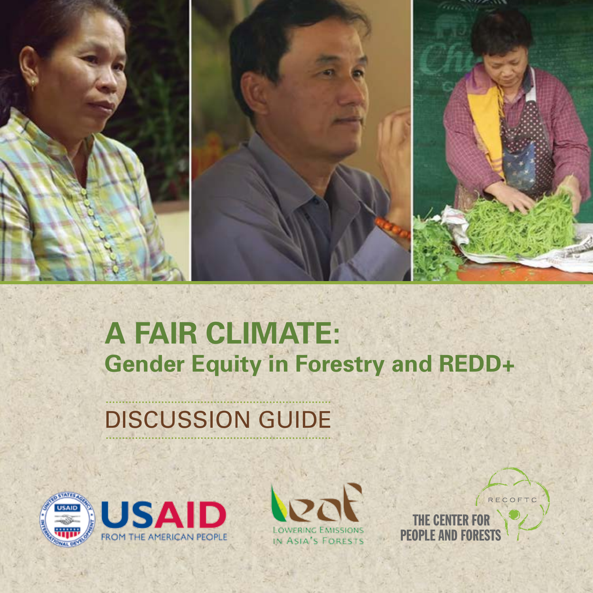

## **A Fair Climate: Gender Equity in Forestry and REDD+**

## DISCUSSION GUIDE





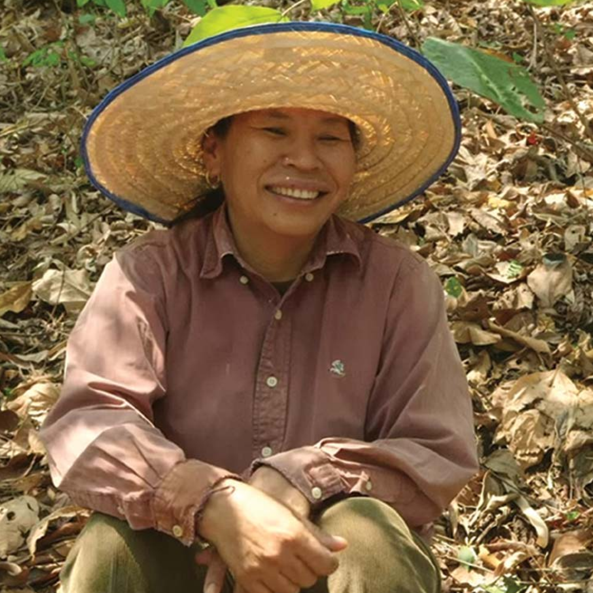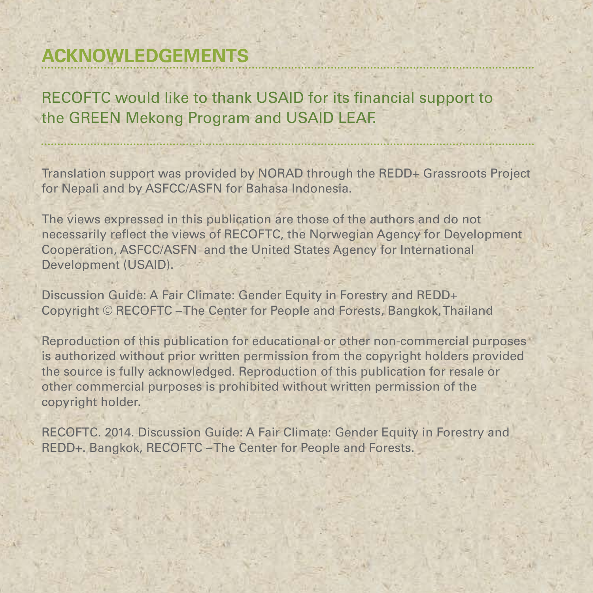#### RECOFTC would like to thank USAID for its financial support to the GREEN Mekong Program and USAID LEAF.

Translation support was provided by NORAD through the REDD+ Grassroots Project for Nepali and by ASFCC/ASFN for Bahasa Indonesia.

The views expressed in this publication are those of the authors and do not necessarily reflect the views of RECOFTC, the Norwegian Agency for Development Cooperation, ASFCC/ASFN and the United States Agency for International Development (USAID).

Discussion Guide: A Fair Climate: Gender Equity in Forestry and REDD+ Copyright © RECOFTC – The Center for People and Forests, Bangkok, Thailand

Reproduction of this publication for educational or other non-commercial purposes is authorized without prior written permission from the copyright holders provided the source is fully acknowledged. Reproduction of this publication for resale or other commercial purposes is prohibited without written permission of the copyright holder.

RECOFTC. 2014. Discussion Guide: A Fair Climate: Gender Equity in Forestry and REDD+. Bangkok, RECOFTC – The Center for People and Forests.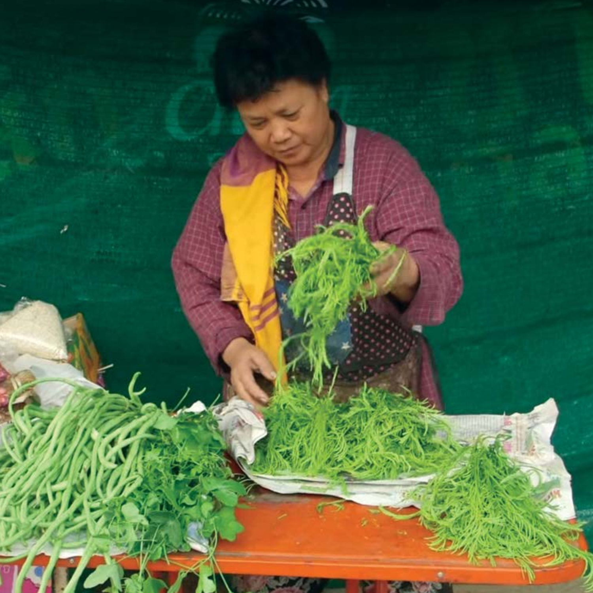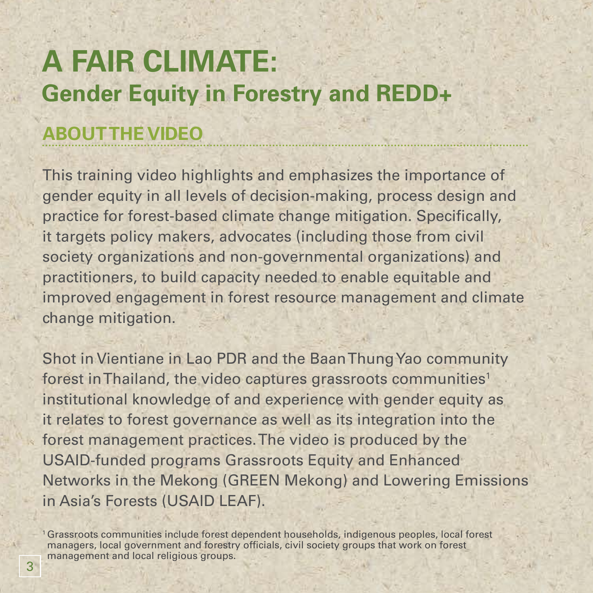# **A Fair Climate: Gender Equity in Forestry and REDD+**

## **About the video**

This training video highlights and emphasizes the importance of gender equity in all levels of decision-making, process design and practice for forest-based climate change mitigation. Specifically, it targets policy makers, advocates (including those from civil society organizations and non-governmental organizations) and practitioners, to build capacity needed to enable equitable and improved engagement in forest resource management and climate change mitigation.

Shot in Vientiane in Lao PDR and the Baan Thung Yao community forest in Thailand, the video captures grassroots communities<sup>1</sup> institutional knowledge of and experience with gender equity as it relates to forest governance as well as its integration into the forest management practices. The video is produced by the USAID-funded programs Grassroots Equity and Enhanced Networks in the Mekong (GREEN Mekong) and Lowering Emissions in Asia's Forests (USAID LEAF).

<sup>1</sup> Grassroots communities include forest dependent households, indigenous peoples, local forest managers, local government and forestry officials, civil society groups that work on forest management and local religious groups.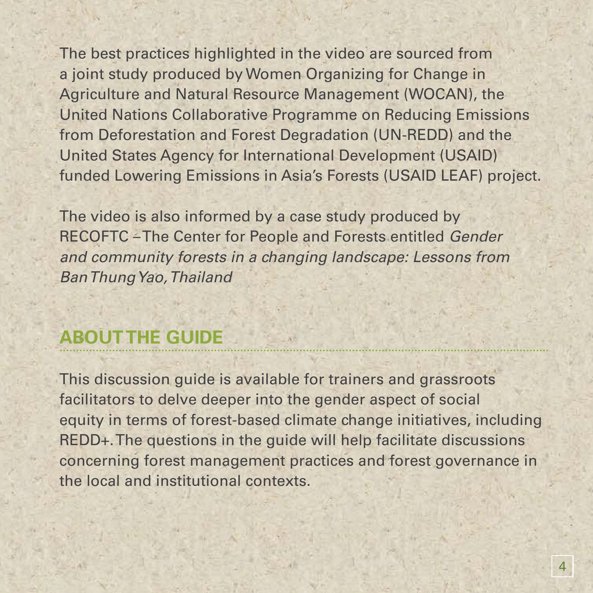The best practices highlighted in the video are sourced from a joint study produced by Women Organizing for Change in Agriculture and Natural Resource Management (WOCAN), the United Nations Collaborative Programme on Reducing Emissions from Deforestation and Forest Degradation (UN-REDD) and the United States Agency for International Development (USAID) funded Lowering Emissions in Asia's Forests (USAID LEAF) project.

The video is also informed by a case study produced by RECOFTC – The Center for People and Forests entitled *Gender and community forests in a changing landscape: Lessons from Ban Thung Yao, Thailand*

#### **About the guide**

This discussion guide is available for trainers and grassroots facilitators to delve deeper into the gender aspect of social equity in terms of forest-based climate change initiatives, including REDD+. The questions in the guide will help facilitate discussions concerning forest management practices and forest governance in the local and institutional contexts.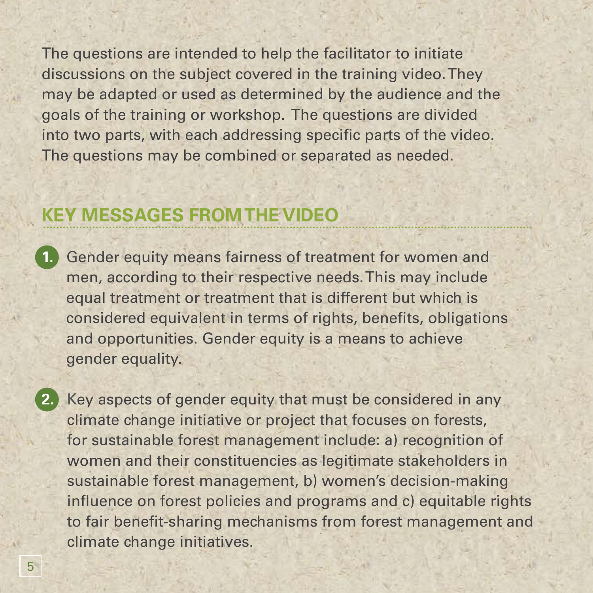The questions are intended to help the facilitator to initiate discussions on the subject covered in the training video. They may be adapted or used as determined by the audience and the goals of the training or workshop. The questions are divided into two parts, with each addressing specific parts of the video. The questions may be combined or separated as needed.

#### **key messages from the video**

**1.** Gender equity means fairness of treatment for women and men, according to their respective needs. This may include equal treatment or treatment that is different but which is considered equivalent in terms of rights, benefits, obligations and opportunities. Gender equity is a means to achieve gender equality.

**2.** Key aspects of gender equity that must be considered in any climate change initiative or project that focuses on forests, for sustainable forest management include: a) recognition of women and their constituencies as legitimate stakeholders in sustainable forest management, b) women's decision-making influence on forest policies and programs and c) equitable rights to fair benefit-sharing mechanisms from forest management and climate change initiatives.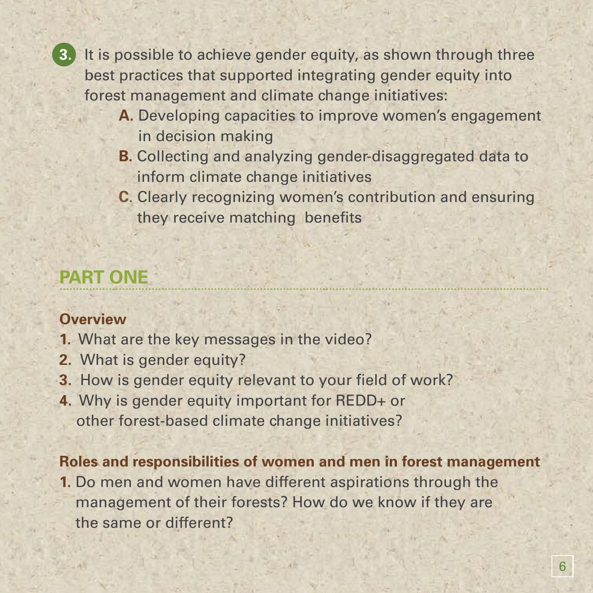**3.** It is possible to achieve gender equity, as shown through three best practices that supported integrating gender equity into forest management and climate change initiatives:

- **A.** Developing capacities to improve women's engagement in decision making
- **B.** Collecting and analyzing gender-disaggregated data to inform climate change initiatives
- **C**. Clearly recognizing women's contribution and ensuring they receive matching benefits

## **PART ONE**

#### **Overview**

- **1.** What are the key messages in the video?
- **2.** What is gender equity?
- **3.** How is gender equity relevant to your field of work?
- **4.** Why is gender equity important for REDD+ or other forest-based climate change initiatives?

**Roles and responsibilities of women and men in forest management**

**1.** Do men and women have different aspirations through the management of their forests? How do we know if they are the same or different?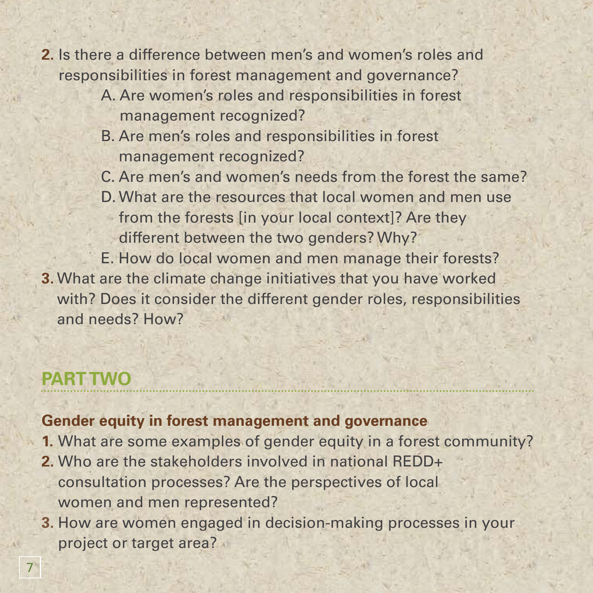**2.** Is there a difference between men's and women's roles and responsibilities in forest management and governance?

- A. Are women's roles and responsibilities in forest management recognized?
- B. Are men's roles and responsibilities in forest management recognized?
- C. Are men's and women's needs from the forest the same?
- D. What are the resources that local women and men use from the forests [in your local context]? Are they different between the two genders? Why?
- E. How do local women and men manage their forests? **3.** What are the climate change initiatives that you have worked with? Does it consider the different gender roles, responsibilities and needs? How?

### **PARTTWO**

#### **Gender equity in forest management and governance**

- **1.** What are some examples of gender equity in a forest community?
- **2.** Who are the stakeholders involved in national REDD+ consultation processes? Are the perspectives of local women and men represented?
- **3.** How are women engaged in decision-making processes in your project or target area?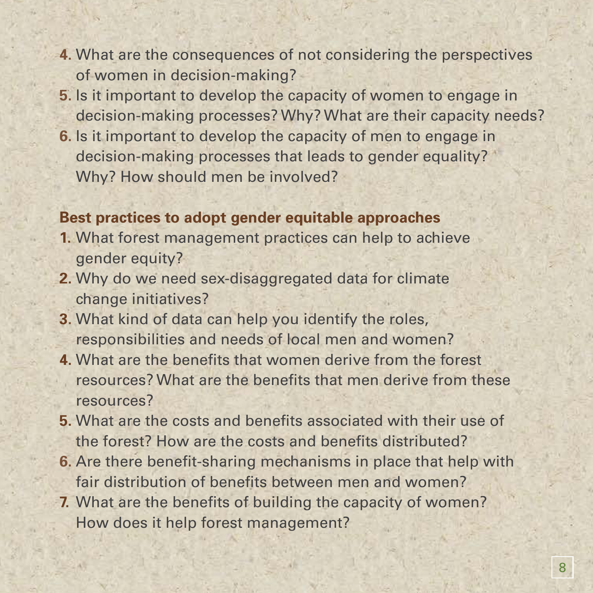- **4.** What are the consequences of not considering the perspectives of women in decision-making?
- **5.** Is it important to develop the capacity of women to engage in decision-making processes? Why? What are their capacity needs?
- **6.** Is it important to develop the capacity of men to engage in decision-making processes that leads to gender equality? Why? How should men be involved?

#### **Best practices to adopt gender equitable approaches**

- **1.** What forest management practices can help to achieve gender equity?
- **2.** Why do we need sex-disaggregated data for climate change initiatives?
- **3.** What kind of data can help you identify the roles, responsibilities and needs of local men and women?
- **4.** What are the benefits that women derive from the forest resources? What are the benefits that men derive from these resources?
- **5.** What are the costs and benefits associated with their use of the forest? How are the costs and benefits distributed?
- **6.** Are there benefit-sharing mechanisms in place that help with fair distribution of benefits between men and women?
- **7.** What are the benefits of building the capacity of women? How does it help forest management?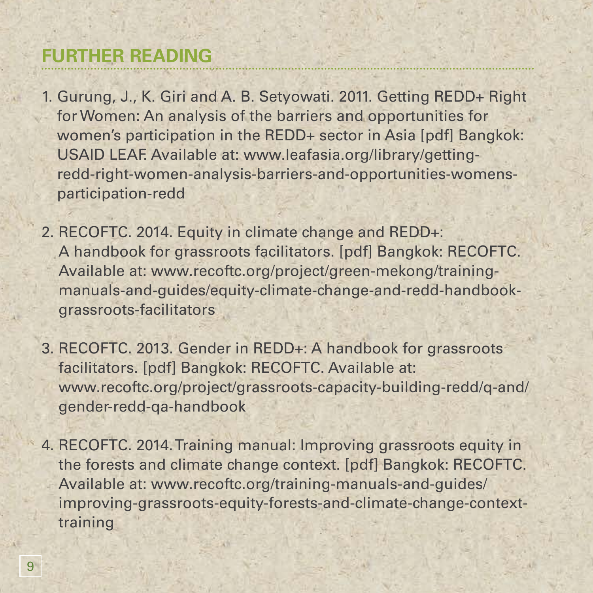#### **Further reading**

- 1. Gurung, J., K. Giri and A. B. Setyowati. 2011. Getting REDD+ Right for Women: An analysis of the barriers and opportunities for women's participation in the REDD+ sector in Asia [pdf] Bangkok: USAID LEAF. Available at: www.leafasia.org/library/gettingredd-right-women-analysis-barriers-and-opportunities-womensparticipation-redd
- 2. RECOFTC. 2014. Equity in climate change and REDD+: A handbook for grassroots facilitators. [pdf] Bangkok: RECOFTC. Available at: www.recoftc.org/project/green-mekong/trainingmanuals-and-guides/equity-climate-change-and-redd-handbookgrassroots-facilitators
- 3. RECOFTC. 2013. Gender in REDD+: A handbook for grassroots facilitators. [pdf] Bangkok: RECOFTC. Available at: www.recoftc.org/project/grassroots-capacity-building-redd/q-and/ gender-redd-qa-handbook
- 4. RECOFTC. 2014. Training manual: Improving grassroots equity in the forests and climate change context. [pdf] Bangkok: RECOFTC. Available at: www.recoftc.org/training-manuals-and-guides/ improving-grassroots-equity-forests-and-climate-change-contexttraining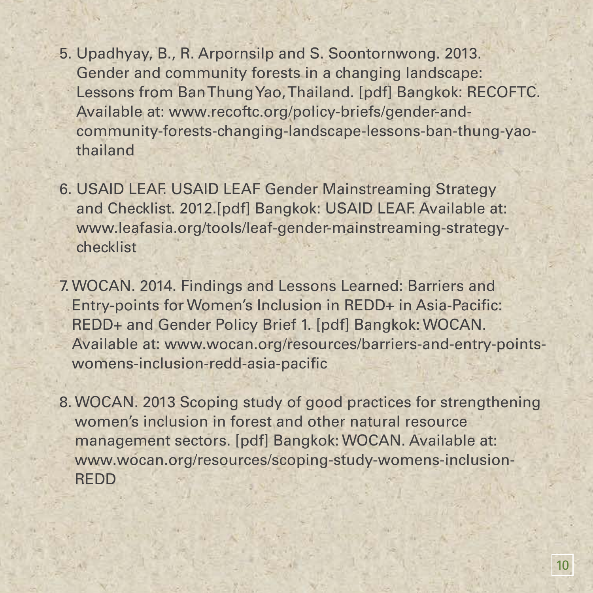- 5. Upadhyay, B., R. Arpornsilp and S. Soontornwong. 2013. Gender and community forests in a changing landscape: Lessons from Ban Thung Yao, Thailand. [pdf] Bangkok: RECOFTC. Available at: www.recoftc.org/policy-briefs/gender-andcommunity-forests-changing-landscape-lessons-ban-thung-yaothailand
- 6. USAID LEAF. USAID LEAF Gender Mainstreaming Strategy and Checklist. 2012.[pdf] Bangkok: USAID LEAF. Available at: www.leafasia.org/tools/leaf-gender-mainstreaming-strategychecklist
- 7. WOCAN. 2014. Findings and Lessons Learned: Barriers and Entry-points for Women's Inclusion in REDD+ in Asia-Pacific: REDD+ and Gender Policy Brief 1. [pdf] Bangkok: WOCAN. Available at: www.wocan.org/resources/barriers-and-entry-pointswomens-inclusion-redd-asia-pacific
- 8. WOCAN. 2013 Scoping study of good practices for strengthening women's inclusion in forest and other natural resource management sectors. [pdf] Bangkok: WOCAN. Available at: www.wocan.org/resources/scoping-study-womens-inclusion-REDD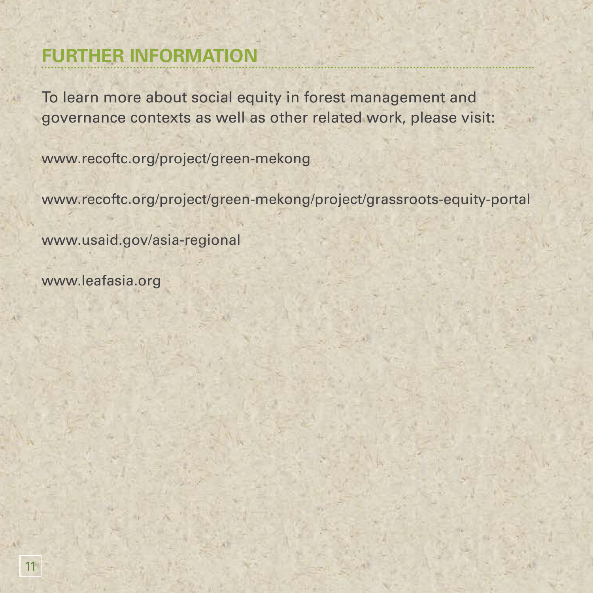#### **Further information**

To learn more about social equity in forest management and governance contexts as well as other related work, please visit:

www.recoftc.org/project/green-mekong

www.recoftc.org/project/green-mekong/project/grassroots-equity-portal

www.usaid.gov/asia-regional

www.leafasia.org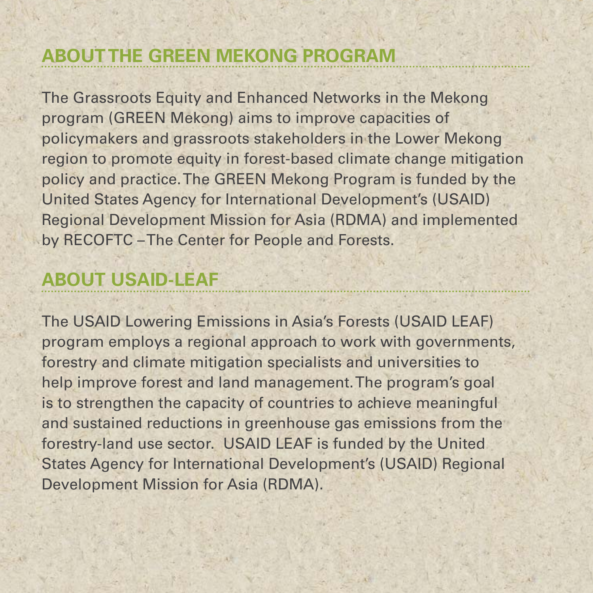## **Aboutthe GREEN Mekong Program**

The Grassroots Equity and Enhanced Networks in the Mekong program (GREEN Mekong) aims to improve capacities of policymakers and grassroots stakeholders in the Lower Mekong region to promote equity in forest-based climate change mitigation policy and practice. The GREEN Mekong Program is funded by the United States Agency for International Development's (USAID) Regional Development Mission for Asia (RDMA) and implemented by RECOFTC – The Center for People and Forests.

### **ABOUT USAID-LEAF**

The USAID Lowering Emissions in Asia's Forests (USAID LEAF) program employs a regional approach to work with governments, forestry and climate mitigation specialists and universities to help improve forest and land management. The program's goal is to strengthen the capacity of countries to achieve meaningful and sustained reductions in greenhouse gas emissions from the forestry-land use sector. USAID LEAF is funded by the United States Agency for International Development's (USAID) Regional Development Mission for Asia (RDMA).